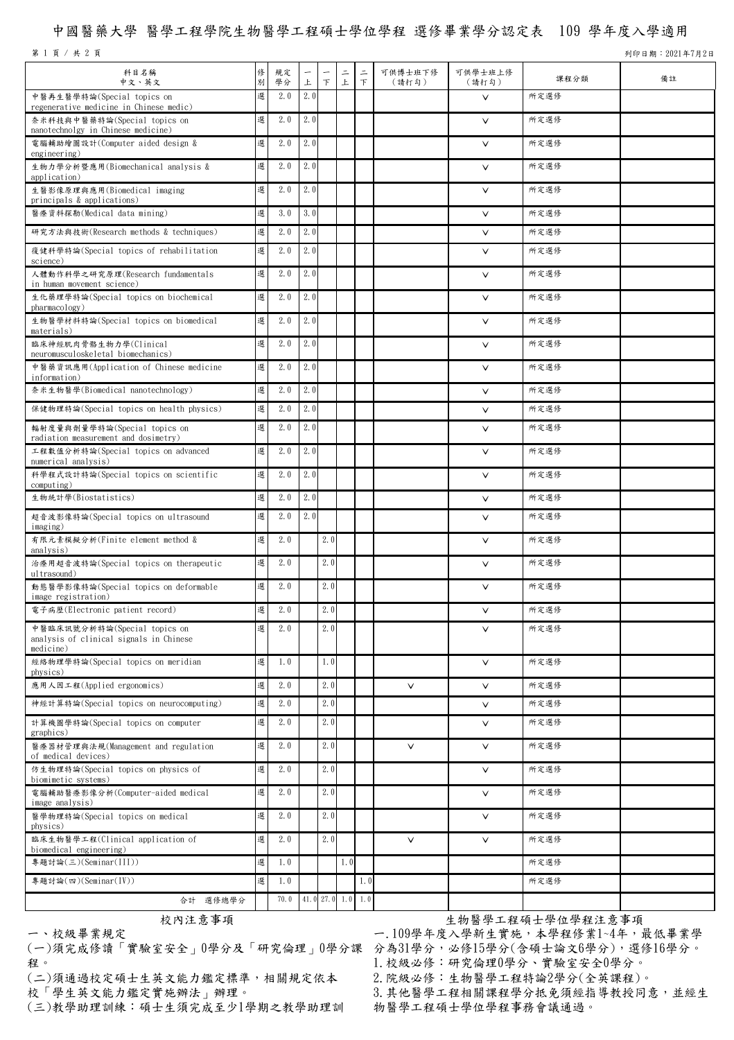## 中國醫藥大學 醫學工程學院生物醫學工程碩士學位學程 選修畢業學分認定表 109 學年度入學適用

第 1 頁 / 共 2 頁 기 9221年7月2日 カランド・カード こうしゅうしゅう しゅうしゅう かいしゅう かいしゅう うちのう 列印日期:2021年7月2日

| 科目名稱<br>中文、英文                                                                        | 俢<br>別 | 規定<br>學分 | $\overline{\phantom{m}}$<br>上 | $\top$ | $\equiv$<br>上       | $\equiv$<br>$\top$ | 可供博士班下修<br>(請打勾) | 可供學士班上修<br>(請打勾) | 課程分類 | 備註 |
|--------------------------------------------------------------------------------------|--------|----------|-------------------------------|--------|---------------------|--------------------|------------------|------------------|------|----|
| 中醫再生醫學特論(Special topics on<br>regenerative medicine in Chinese medic)                | 選      | 2.0      | 2.0                           |        |                     |                    |                  | $\vee$           | 所定選修 |    |
| 奈米科技與中醫藥特論(Special topics on<br>nanotechnolgy in Chinese medicine)                   | 選      | 2.0      | 2.0                           |        |                     |                    |                  | $\vee$           | 所定選修 |    |
| 電腦輔助繪圖設計(Computer aided design &<br>engineering)                                     | 選      | 2.0      | 2.0                           |        |                     |                    |                  | $\vee$           | 所定選修 |    |
| 生物力學分析暨應用(Biomechanical analysis &<br>application)                                   | 選      | 2.0      | 2.0                           |        |                     |                    |                  | $\vee$           | 所定選修 |    |
| 生醫影像原理與應用(Biomedical imaging<br>principals & applications)                           | 選      | 2.0      | 2.0                           |        |                     |                    |                  | $\vee$           | 所定選修 |    |
| 醫療資料探勘(Medical data mining)                                                          | 選      | 3.0      | 3.0                           |        |                     |                    |                  | $\vee$           | 所定選修 |    |
| 研究方法與技術(Research methods & techniques)                                               | 選      | 2.0      | 2.0                           |        |                     |                    |                  | $\vee$           | 所定選修 |    |
| 復健科學特論(Special topics of rehabilitation<br>science)                                  | 選      | 2.0      | 2.0                           |        |                     |                    |                  | $\vee$           | 所定選修 |    |
| 人體動作科學之研究原理(Research fundamentals<br>in human movement science)                      | 選      | 2.0      | 2.0                           |        |                     |                    |                  | $\vee$           | 所定選修 |    |
| 生化藥理學特論(Special topics on biochemical<br>pharmacology)                               | 選      | 2.0      | 2.0                           |        |                     |                    |                  | $\vee$           | 所定選修 |    |
| 生物醫學材料特論(Special topics on biomedical<br>materials)                                  | 選      | 2.0      | 2.0                           |        |                     |                    |                  | $\vee$           | 所定選修 |    |
| 臨床神經肌肉骨骼生物力學(Clinical<br>neuromusculoskeletal biomechanics)                          | 選      | 2.0      | 2.0                           |        |                     |                    |                  | $\vee$           | 所定選修 |    |
| 中醫藥資訊應用(Application of Chinese medicine<br>information)                              | 選      | 2.0      | 2.0                           |        |                     |                    |                  | $\vee$           | 所定選修 |    |
| 奈米生物醫學(Biomedical nanotechnology)                                                    | 選      | 2.0      | 2.0                           |        |                     |                    |                  | $\vee$           | 所定選修 |    |
| 保健物理特論(Special topics on health physics)                                             | 選      | 2.0      | 2.0                           |        |                     |                    |                  | $\vee$           | 所定選修 |    |
| 輻射度量與劑量學特論(Special topics on<br>radiation measurement and dosimetry)                 | 選      | 2.0      | 2.0                           |        |                     |                    |                  | $\vee$           | 所定選修 |    |
| 工程數值分析特論(Special topics on advanced<br>numerical analysis)                           | 選      | 2.0      | 2.0                           |        |                     |                    |                  | $\vee$           | 所定選修 |    |
| 科學程式設計特論(Special topics on scientific<br>computing)                                  | 選      | 2.0      | 2.0                           |        |                     |                    |                  | $\vee$           | 所定選修 |    |
| 生物統計學(Biostatistics)                                                                 | 選      | 2.0      | 2.0                           |        |                     |                    |                  | $\vee$           | 所定選修 |    |
| 超音波影像特論(Special topics on ultrasound                                                 | 選      | 2.0      | 2.0                           |        |                     |                    |                  | $\vee$           | 所定選修 |    |
| imaging)<br>有限元素模擬分析(Finite element method &<br>analysis)                            | 選      | 2.0      |                               | 2.0    |                     |                    |                  | $\vee$           | 所定選修 |    |
| 治療用超音波特論(Special topics on therapeutic<br>ultrasound)                                | 選      | 2.0      |                               | 2.0    |                     |                    |                  | $\vee$           | 所定選修 |    |
| 動態醫學影像特論(Special topics on deformable<br>image registration)                         | 選      | 2.0      |                               | 2.0    |                     |                    |                  | $\vee$           | 所定選修 |    |
| 電子病歷(Electronic patient record)                                                      | 選      | 2.0      |                               | 2.0    |                     |                    |                  | $\vee$           | 所定選修 |    |
| 中醫臨床訊號分析特論(Special topics on<br>analysis of clinical signals in Chinese<br>medicine) | 選      | 2.0      |                               | 2.0    |                     |                    |                  | $\vee$           | 所定選修 |    |
| 經絡物理學特論(Special topics on meridian<br>physics)                                       | 選      | 1.0      |                               | 1.0    |                     |                    |                  | $\vee$           | 所定選修 |    |
| 應用人因工程(Applied ergonomics)                                                           | 選      | 2.0      |                               | 2.0    |                     |                    | $\vee$           | $\vee$           | 所定選修 |    |
| 神經計算特論(Special topics on neurocomputing)                                             | 選      | 2.0      |                               | 2.0    |                     |                    |                  | $\vee$           | 所定選修 |    |
| 計算機圖學特論(Special topics on computer<br>graphics)                                      | 選      | 2.0      |                               | 2.0    |                     |                    |                  | $\vee$           | 所定選修 |    |
| 醫療器材管理與法規(Management and regulation<br>of medical devices)                           | 選      | 2.0      |                               | 2.0    |                     |                    | $\vee$           | $\vee$           | 所定選修 |    |
| 仿生物理特論(Special topics on physics of<br>biomimetic systems)                           | 選      | 2.0      |                               | 2.0    |                     |                    |                  | $\checkmark$     | 所定選修 |    |
| 電腦輔助醫療影像分析(Computer-aided medical<br>image analysis)                                 | 選      | 2.0      |                               | 2.0    |                     |                    |                  | $\vee$           | 所定選修 |    |
| 醫學物理特論(Special topics on medical<br>physics)                                         | 選      | 2.0      |                               | 2.0    |                     |                    |                  | $\vee$           | 所定選修 |    |
| 臨床生物醫學工程(Clinical application of<br>biomedical engineering)                          | 選      | 2.0      |                               | 2.0    |                     |                    | $\vee$           | $\vee$           | 所定選修 |    |
| 專題討論(三)(Seminar(III))                                                                | 選      | 1.0      |                               |        | 1.0                 |                    |                  |                  | 所定選修 |    |
| 專題討論(四)(Seminar(IV))                                                                 | 選      | 1.0      |                               |        |                     | 1.0                |                  |                  | 所定選修 |    |
| 合計 選修總學分                                                                             |        | 70.0     |                               |        | $41.0$ 27.0 1.0 1.0 |                    |                  |                  |      |    |

一、校級畢業規定

(一)須完成修讀「實驗室安全」0學分及「研究倫理」0學分課 分為31學分,必修15學分(含碩士論文6學分),選修16學分。 程。

(二)須通過校定碩士生英文能力鑑定標準,相關規定依本 校「學生英文能力鑑定實施辦法」辦理。

(三)教學助理訓練:碩士生須完成至少1學期之教學助理訓

校內注意事項 安內注意會員 医二十二十二十二十一 医紫色学 医单位学程注意事項 一.109學年度入學新生實施,本學程修業1~4年,最低畢業學 1.校級必修:研究倫理0學分、實驗室安全0學分。 2.院級必修:生物醫學工程特論2學分(全英課程)。 3.其他醫學工程相關課程學分抵免須經指導教授同意,並經生 物醫學工程碩士學位學程事務會議通過。